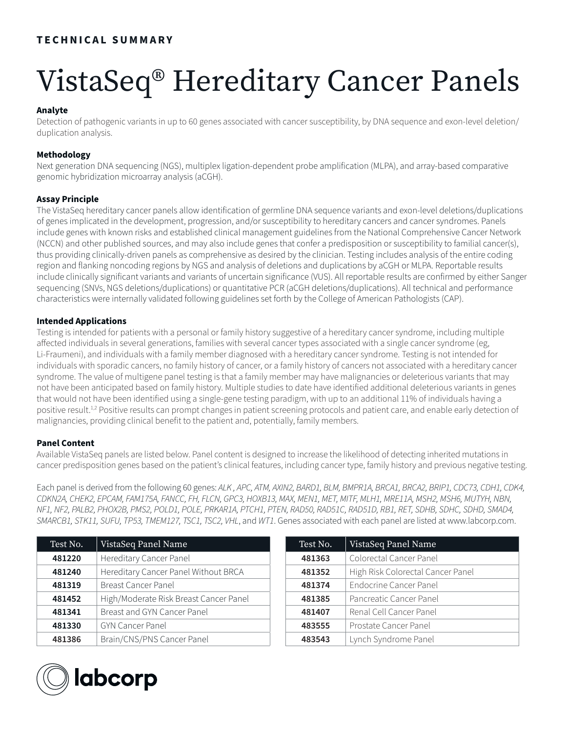# VistaSeq® Hereditary Cancer Panels

# **Analyte**

Detection of pathogenic variants in up to 60 genes associated with cancer susceptibility, by DNA sequence and exon-level deletion/ duplication analysis.

## **Methodology**

Next generation DNA sequencing (NGS), multiplex ligation-dependent probe amplification (MLPA), and array-based comparative genomic hybridization microarray analysis (aCGH).

## **Assay Principle**

The VistaSeq hereditary cancer panels allow identification of germline DNA sequence variants and exon-level deletions/duplications of genes implicated in the development, progression, and/or susceptibility to hereditary cancers and cancer syndromes. Panels include genes with known risks and established clinical management guidelines from the National Comprehensive Cancer Network (NCCN) and other published sources, and may also include genes that confer a predisposition or susceptibility to familial cancer(s), thus providing clinically-driven panels as comprehensive as desired by the clinician. Testing includes analysis of the entire coding region and flanking noncoding regions by NGS and analysis of deletions and duplications by aCGH or MLPA. Reportable results include clinically significant variants and variants of uncertain significance (VUS). All reportable results are confirmed by either Sanger sequencing (SNVs, NGS deletions/duplications) or quantitative PCR (aCGH deletions/duplications). All technical and performance characteristics were internally validated following guidelines set forth by the College of American Pathologists (CAP).

## **Intended Applications**

Testing is intended for patients with a personal or family history suggestive of a hereditary cancer syndrome, including multiple affected individuals in several generations, families with several cancer types associated with a single cancer syndrome (eg, Li-Fraumeni), and individuals with a family member diagnosed with a hereditary cancer syndrome. Testing is not intended for individuals with sporadic cancers, no family history of cancer, or a family history of cancers not associated with a hereditary cancer syndrome. The value of multigene panel testing is that a family member may have malignancies or deleterious variants that may not have been anticipated based on family history. Multiple studies to date have identified additional deleterious variants in genes that would not have been identified using a single-gene testing paradigm, with up to an additional 11% of individuals having a positive result.<sup>1,2</sup> Positive results can prompt changes in patient screening protocols and patient care, and enable early detection of malignancies, providing clinical benefit to the patient and, potentially, family members.

## **Panel Content**

Available VistaSeq panels are listed below. Panel content is designed to increase the likelihood of detecting inherited mutations in cancer predisposition genes based on the patient's clinical features, including cancer type, family history and previous negative testing.

Each panel is derived from the following 60 genes: *ALK , APC, ATM, AXIN2, BARD1, BLM, BMPR1A, BRCA1, BRCA2, BRIP1, CDC73, CDH1, CDK4, CDKN2A, CHEK2, EPCAM, FAM175A, FANCC, FH, FLCN, GPC3, HOXB13, MAX, MEN1, MET, MITF, MLH1, MRE11A, MSH2, MSH6, MUTYH, NBN, NF1, NF2, PALB2, PHOX2B, PMS2, POLD1, POLE, PRKAR1A, PTCH1, PTEN, RAD50, RAD51C, RAD51D, RB1, RET, SDHB, SDHC, SDHD, SMAD4, SMARCB1, STK11, SUFU, TP53, TMEM127, TSC1, TSC2, VHL*, and *WT1*. Genes associated with each panel are listed at www.labcorp.com.

| Test No. | VistaSeq Panel Name                    |
|----------|----------------------------------------|
| 481220   | Hereditary Cancer Panel                |
| 481240   | Hereditary Cancer Panel Without BRCA   |
| 481319   | <b>Breast Cancer Panel</b>             |
| 481452   | High/Moderate Risk Breast Cancer Panel |
| 481341   | Breast and GYN Cancer Panel            |
| 481330   | <b>GYN Cancer Panel</b>                |
| 481386   | Brain/CNS/PNS Cancer Panel             |

| Test No. | VistaSeq Panel Name               |
|----------|-----------------------------------|
| 481363   | Colorectal Cancer Panel           |
| 481352   | High Risk Colorectal Cancer Panel |
| 481374   | <b>Endocrine Cancer Panel</b>     |
| 481385   | Pancreatic Cancer Panel           |
| 481407   | Renal Cell Cancer Panel           |
| 483555   | Prostate Cancer Panel             |
| 483543   | Lynch Syndrome Panel              |

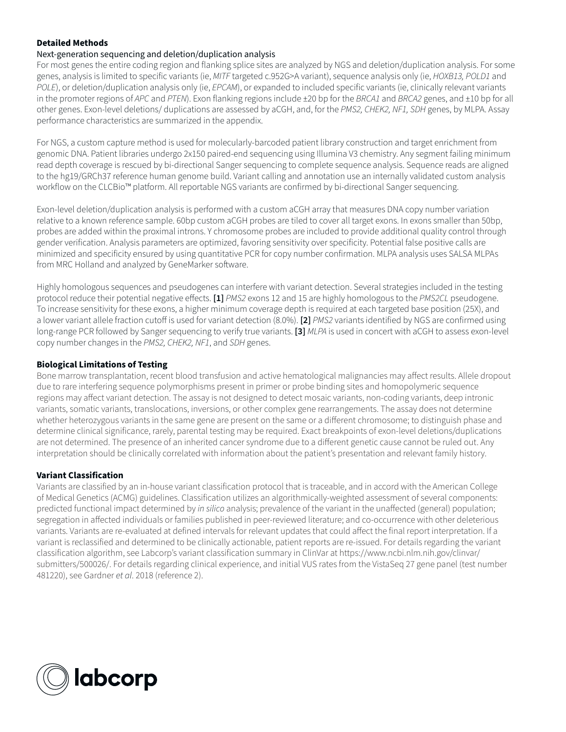## **Detailed Methods**

#### Next-generation sequencing and deletion/duplication analysis

For most genes the entire coding region and flanking splice sites are analyzed by NGS and deletion/duplication analysis. For some genes, analysis is limited to specific variants (ie, *MITF* targeted c.952G>A variant), sequence analysis only (ie, *HOXB13, POLD1* and *POLE*), or deletion/duplication analysis only (ie, *EPCAM*), or expanded to included specific variants (ie, clinically relevant variants in the promoter regions of *APC* and *PTEN*). Exon flanking regions include ±20 bp for the *BRCA1* and *BRCA2* genes, and ±10 bp for all other genes. Exon-level deletions/ duplications are assessed by aCGH, and, for the *PMS2, CHEK2, NF1, SDH* genes, by MLPA. Assay performance characteristics are summarized in the appendix.

For NGS, a custom capture method is used for molecularly-barcoded patient library construction and target enrichment from genomic DNA. Patient libraries undergo 2x150 paired-end sequencing using Illumina V3 chemistry. Any segment failing minimum read depth coverage is rescued by bi-directional Sanger sequencing to complete sequence analysis. Sequence reads are aligned to the hg19/GRCh37 reference human genome build. Variant calling and annotation use an internally validated custom analysis workflow on the CLCBio™ platform. All reportable NGS variants are confirmed by bi-directional Sanger sequencing.

Exon-level deletion/duplication analysis is performed with a custom aCGH array that measures DNA copy number variation relative to a known reference sample. 60bp custom aCGH probes are tiled to cover all target exons. In exons smaller than 50bp, probes are added within the proximal introns. Y chromosome probes are included to provide additional quality control through gender verification. Analysis parameters are optimized, favoring sensitivity over specificity. Potential false positive calls are minimized and specificity ensured by using quantitative PCR for copy number confirmation. MLPA analysis uses SALSA MLPAs from MRC Holland and analyzed by GeneMarker software.

Highly homologous sequences and pseudogenes can interfere with variant detection. Several strategies included in the testing protocol reduce their potential negative effects. **[1]** *PMS2* exons 12 and 15 are highly homologous to the *PMS2CL* pseudogene. To increase sensitivity for these exons, a higher minimum coverage depth is required at each targeted base position (25X), and a lower variant allele fraction cutoff is used for variant detection (8.0%). **[2]** *PMS2* variants identified by NGS are confirmed using long-range PCR followed by Sanger sequencing to verify true variants. **[3]** *MLPA* is used in concert with aCGH to assess exon-level copy number changes in the *PMS2, CHEK2, NF1*, and *SDH* genes.

## **Biological Limitations of Testing**

Bone marrow transplantation, recent blood transfusion and active hematological malignancies may affect results. Allele dropout due to rare interfering sequence polymorphisms present in primer or probe binding sites and homopolymeric sequence regions may affect variant detection. The assay is not designed to detect mosaic variants, non-coding variants, deep intronic variants, somatic variants, translocations, inversions, or other complex gene rearrangements. The assay does not determine whether heterozygous variants in the same gene are present on the same or a different chromosome; to distinguish phase and determine clinical significance, rarely, parental testing may be required. Exact breakpoints of exon-level deletions/duplications are not determined. The presence of an inherited cancer syndrome due to a different genetic cause cannot be ruled out. Any interpretation should be clinically correlated with information about the patient's presentation and relevant family history.

## **Variant Classification**

Variants are classified by an in-house variant classification protocol that is traceable, and in accord with the American College of Medical Genetics (ACMG) guidelines. Classification utilizes an algorithmically-weighted assessment of several components: predicted functional impact determined by *in silico* analysis; prevalence of the variant in the unaffected (general) population; segregation in affected individuals or families published in peer-reviewed literature; and co-occurrence with other deleterious variants. Variants are re-evaluated at defined intervals for relevant updates that could affect the final report interpretation. If a variant is reclassified and determined to be clinically actionable, patient reports are re-issued. For details regarding the variant classification algorithm, see Labcorp's variant classification summary in ClinVar at https://www.ncbi.nlm.nih.gov/clinvar/ submitters/500026/. For details regarding clinical experience, and initial VUS rates from the VistaSeq 27 gene panel (test number 481220), see Gardner *et al*. 2018 (reference 2).